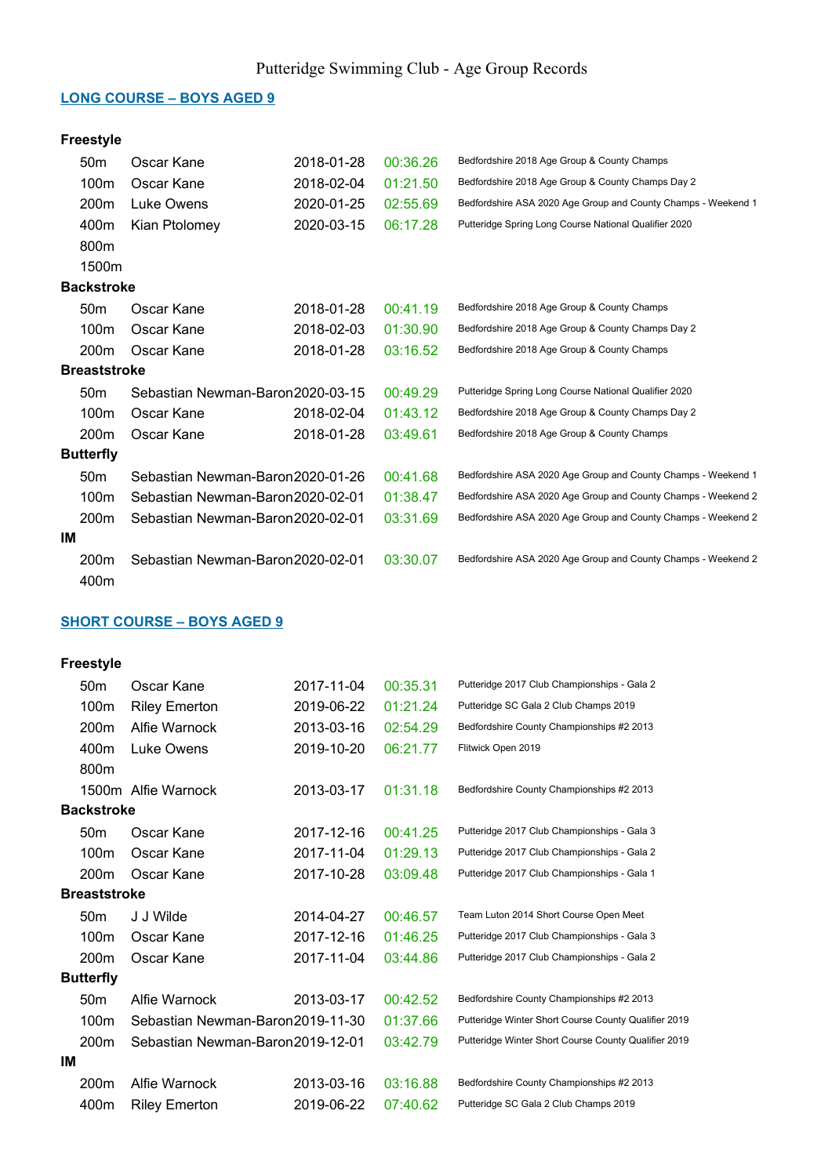#### LONG COURSE – BOYS AGED 9

## Freestyle

| 50 <sub>m</sub>     | Oscar Kane                        | 2018-01-28 | 00:36.26 | Bedfordshire 2018 Age Group & County Champs                   |
|---------------------|-----------------------------------|------------|----------|---------------------------------------------------------------|
| 100m                | Oscar Kane                        | 2018-02-04 | 01:21.50 | Bedfordshire 2018 Age Group & County Champs Day 2             |
| 200m                | Luke Owens                        | 2020-01-25 | 02:55.69 | Bedfordshire ASA 2020 Age Group and County Champs - Weekend 1 |
| 400m                | Kian Ptolomey                     | 2020-03-15 | 06:17.28 | Putteridge Spring Long Course National Qualifier 2020         |
| 800m                |                                   |            |          |                                                               |
| 1500m               |                                   |            |          |                                                               |
| <b>Backstroke</b>   |                                   |            |          |                                                               |
| 50 <sub>m</sub>     | Oscar Kane                        | 2018-01-28 | 00:41.19 | Bedfordshire 2018 Age Group & County Champs                   |
| 100m                | Oscar Kane                        | 2018-02-03 | 01:30.90 | Bedfordshire 2018 Age Group & County Champs Day 2             |
| 200 <sub>m</sub>    | Oscar Kane                        | 2018-01-28 | 03:16.52 | Bedfordshire 2018 Age Group & County Champs                   |
| <b>Breaststroke</b> |                                   |            |          |                                                               |
| 50 <sub>m</sub>     | Sebastian Newman-Baron2020-03-15  |            | 00:49.29 | Putteridge Spring Long Course National Qualifier 2020         |
| 100m                | Oscar Kane                        | 2018-02-04 | 01:43.12 | Bedfordshire 2018 Age Group & County Champs Day 2             |
| 200 <sub>m</sub>    | Oscar Kane                        | 2018-01-28 | 03:49.61 | Bedfordshire 2018 Age Group & County Champs                   |
| <b>Butterfly</b>    |                                   |            |          |                                                               |
| 50 <sub>m</sub>     | Sebastian Newman-Baron 2020-01-26 |            | 00:41.68 | Bedfordshire ASA 2020 Age Group and County Champs - Weekend 1 |
| 100m                | Sebastian Newman-Baron 2020-02-01 |            | 01:38.47 | Bedfordshire ASA 2020 Age Group and County Champs - Weekend 2 |
| 200 <sub>m</sub>    | Sebastian Newman-Baron 2020-02-01 |            | 03:31.69 | Bedfordshire ASA 2020 Age Group and County Champs - Weekend 2 |
| ΙM                  |                                   |            |          |                                                               |
| 200 <sub>m</sub>    | Sebastian Newman-Baron2020-02-01  |            | 03:30.07 | Bedfordshire ASA 2020 Age Group and County Champs - Weekend 2 |
| 400m                |                                   |            |          |                                                               |

## SHORT COURSE – BOYS AGED 9

|    | 50 <sub>m</sub>     | Oscar Kane                        | 2017-11-04 | 00:35.31 | Putteridge 2017 Club Championships - Gala 2          |
|----|---------------------|-----------------------------------|------------|----------|------------------------------------------------------|
|    | 100m                | <b>Riley Emerton</b>              | 2019-06-22 | 01:21.24 | Putteridge SC Gala 2 Club Champs 2019                |
|    | 200m                | Alfie Warnock                     | 2013-03-16 | 02:54.29 | Bedfordshire County Championships #2 2013            |
|    | 400m                | Luke Owens                        | 2019-10-20 | 06:21.77 | Flitwick Open 2019                                   |
|    | 800m                |                                   |            |          |                                                      |
|    |                     | 1500m Alfie Warnock               | 2013-03-17 | 01:31.18 | Bedfordshire County Championships #2 2013            |
|    | <b>Backstroke</b>   |                                   |            |          |                                                      |
|    | 50 <sub>m</sub>     | Oscar Kane                        | 2017-12-16 | 00:41.25 | Putteridge 2017 Club Championships - Gala 3          |
|    | 100 <sub>m</sub>    | Oscar Kane                        | 2017-11-04 | 01:29.13 | Putteridge 2017 Club Championships - Gala 2          |
|    | 200 <sub>m</sub>    | Oscar Kane                        | 2017-10-28 | 03:09.48 | Putteridge 2017 Club Championships - Gala 1          |
|    | <b>Breaststroke</b> |                                   |            |          |                                                      |
|    | 50 <sub>m</sub>     | J J Wilde                         | 2014-04-27 | 00:46.57 | Team Luton 2014 Short Course Open Meet               |
|    | 100m                | Oscar Kane                        | 2017-12-16 | 01:46.25 | Putteridge 2017 Club Championships - Gala 3          |
|    | 200 <sub>m</sub>    | Oscar Kane                        | 2017-11-04 | 03:44.86 | Putteridge 2017 Club Championships - Gala 2          |
|    | <b>Butterfly</b>    |                                   |            |          |                                                      |
|    | 50 <sub>m</sub>     | Alfie Warnock                     | 2013-03-17 | 00:42.52 | Bedfordshire County Championships #2 2013            |
|    | 100 <sub>m</sub>    | Sebastian Newman-Baron 2019-11-30 |            | 01:37.66 | Putteridge Winter Short Course County Qualifier 2019 |
|    | 200 <sub>m</sub>    | Sebastian Newman-Baron2019-12-01  |            | 03:42.79 | Putteridge Winter Short Course County Qualifier 2019 |
| IМ |                     |                                   |            |          |                                                      |
|    | 200 <sub>m</sub>    | Alfie Warnock                     | 2013-03-16 | 03:16.88 | Bedfordshire County Championships #2 2013            |
|    | 400m                | <b>Riley Emerton</b>              | 2019-06-22 | 07:40.62 | Putteridge SC Gala 2 Club Champs 2019                |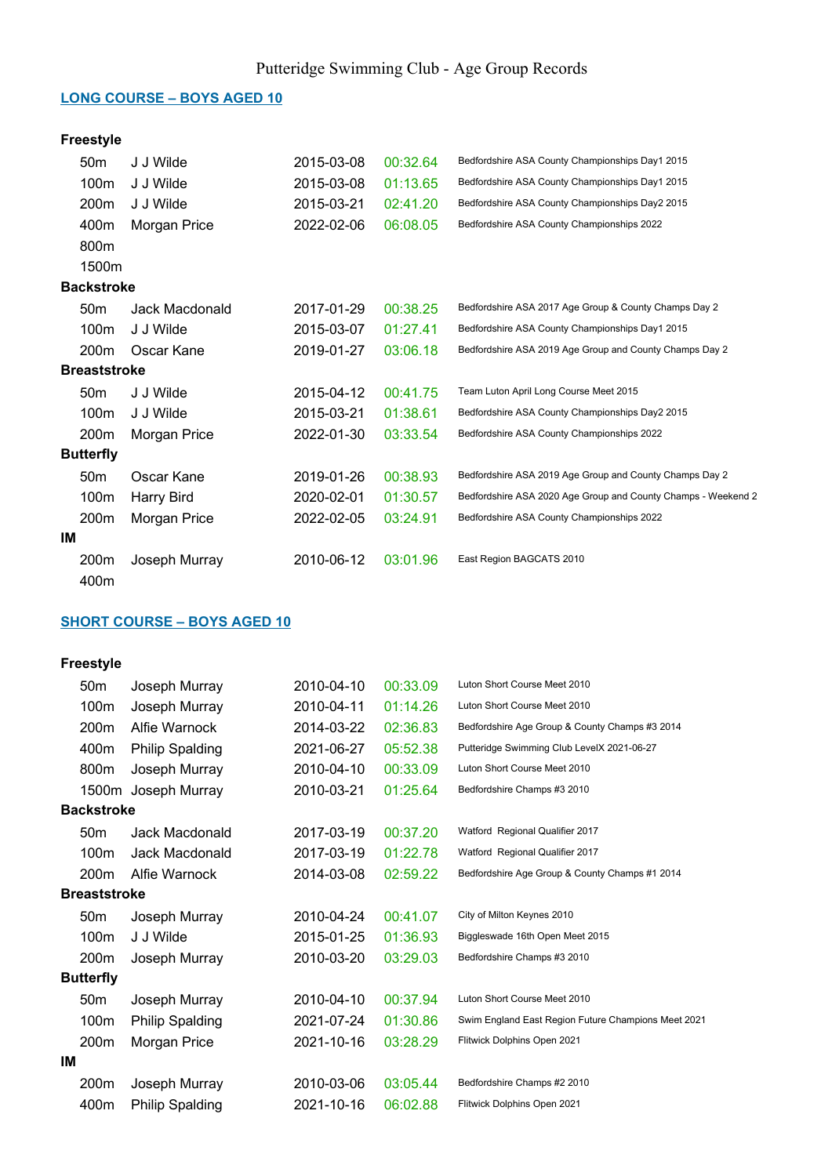#### LONG COURSE – BOYS AGED 10

## Freestyle

| 50 <sub>m</sub>     | J J Wilde         | 2015-03-08 | 00:32.64 | Bedfordshire ASA County Championships Day1 2015               |
|---------------------|-------------------|------------|----------|---------------------------------------------------------------|
| 100m                | J J Wilde         | 2015-03-08 | 01:13.65 | Bedfordshire ASA County Championships Day1 2015               |
| 200m                | J J Wilde         | 2015-03-21 | 02:41.20 | Bedfordshire ASA County Championships Day2 2015               |
| 400m                | Morgan Price      | 2022-02-06 | 06:08.05 | Bedfordshire ASA County Championships 2022                    |
| 800m                |                   |            |          |                                                               |
| 1500m               |                   |            |          |                                                               |
| <b>Backstroke</b>   |                   |            |          |                                                               |
| 50 <sub>m</sub>     | Jack Macdonald    | 2017-01-29 | 00:38.25 | Bedfordshire ASA 2017 Age Group & County Champs Day 2         |
| 100m                | J J Wilde         | 2015-03-07 | 01:27.41 | Bedfordshire ASA County Championships Day1 2015               |
| 200 <sub>m</sub>    | Oscar Kane        | 2019-01-27 | 03:06.18 | Bedfordshire ASA 2019 Age Group and County Champs Day 2       |
| <b>Breaststroke</b> |                   |            |          |                                                               |
| 50 <sub>m</sub>     | J J Wilde         | 2015-04-12 | 00:41.75 | Team Luton April Long Course Meet 2015                        |
| 100m                | J J Wilde         | 2015-03-21 | 01:38.61 | Bedfordshire ASA County Championships Day2 2015               |
| 200m                | Morgan Price      | 2022-01-30 | 03:33.54 | Bedfordshire ASA County Championships 2022                    |
| <b>Butterfly</b>    |                   |            |          |                                                               |
| 50 <sub>m</sub>     | Oscar Kane        | 2019-01-26 | 00:38.93 | Bedfordshire ASA 2019 Age Group and County Champs Day 2       |
| 100m                | <b>Harry Bird</b> | 2020-02-01 | 01:30.57 | Bedfordshire ASA 2020 Age Group and County Champs - Weekend 2 |
| 200m                | Morgan Price      | 2022-02-05 | 03:24.91 | Bedfordshire ASA County Championships 2022                    |
| ΙM                  |                   |            |          |                                                               |
| 200m                | Joseph Murray     | 2010-06-12 | 03:01.96 | East Region BAGCATS 2010                                      |
| 400m                |                   |            |          |                                                               |

## SHORT COURSE – BOYS AGED 10

|    | 50 <sub>m</sub>     | Joseph Murray          | 2010-04-10 | 00:33.09 | Luton Short Course Meet 2010                        |
|----|---------------------|------------------------|------------|----------|-----------------------------------------------------|
|    | 100m                | Joseph Murray          | 2010-04-11 | 01:14.26 | Luton Short Course Meet 2010                        |
|    | 200m                | Alfie Warnock          | 2014-03-22 | 02:36.83 | Bedfordshire Age Group & County Champs #3 2014      |
|    | 400m                | <b>Philip Spalding</b> | 2021-06-27 | 05:52.38 | Putteridge Swimming Club LevelX 2021-06-27          |
|    | 800m                | Joseph Murray          | 2010-04-10 | 00:33.09 | Luton Short Course Meet 2010                        |
|    | 1500m               | Joseph Murray          | 2010-03-21 | 01:25.64 | Bedfordshire Champs #3 2010                         |
|    | <b>Backstroke</b>   |                        |            |          |                                                     |
|    | 50 <sub>m</sub>     | Jack Macdonald         | 2017-03-19 | 00:37.20 | Watford Regional Qualifier 2017                     |
|    | 100m                | Jack Macdonald         | 2017-03-19 | 01:22.78 | Watford Regional Qualifier 2017                     |
|    | 200m                | Alfie Warnock          | 2014-03-08 | 02:59.22 | Bedfordshire Age Group & County Champs #1 2014      |
|    | <b>Breaststroke</b> |                        |            |          |                                                     |
|    | 50 <sub>m</sub>     | Joseph Murray          | 2010-04-24 | 00:41.07 | City of Milton Keynes 2010                          |
|    | 100 <sub>m</sub>    | J J Wilde              | 2015-01-25 | 01:36.93 | Biggleswade 16th Open Meet 2015                     |
|    | 200 <sub>m</sub>    | Joseph Murray          | 2010-03-20 | 03:29.03 | Bedfordshire Champs #3 2010                         |
|    | <b>Butterfly</b>    |                        |            |          |                                                     |
|    | 50 <sub>m</sub>     | Joseph Murray          | 2010-04-10 | 00:37.94 | Luton Short Course Meet 2010                        |
|    | 100m                | <b>Philip Spalding</b> | 2021-07-24 | 01:30.86 | Swim England East Region Future Champions Meet 2021 |
|    | 200m                | Morgan Price           | 2021-10-16 | 03:28.29 | Flitwick Dolphins Open 2021                         |
| IМ |                     |                        |            |          |                                                     |
|    | 200m                | Joseph Murray          | 2010-03-06 | 03:05.44 | Bedfordshire Champs #2 2010                         |
|    | 400m                | <b>Philip Spalding</b> | 2021-10-16 | 06:02.88 | Flitwick Dolphins Open 2021                         |
|    |                     |                        |            |          |                                                     |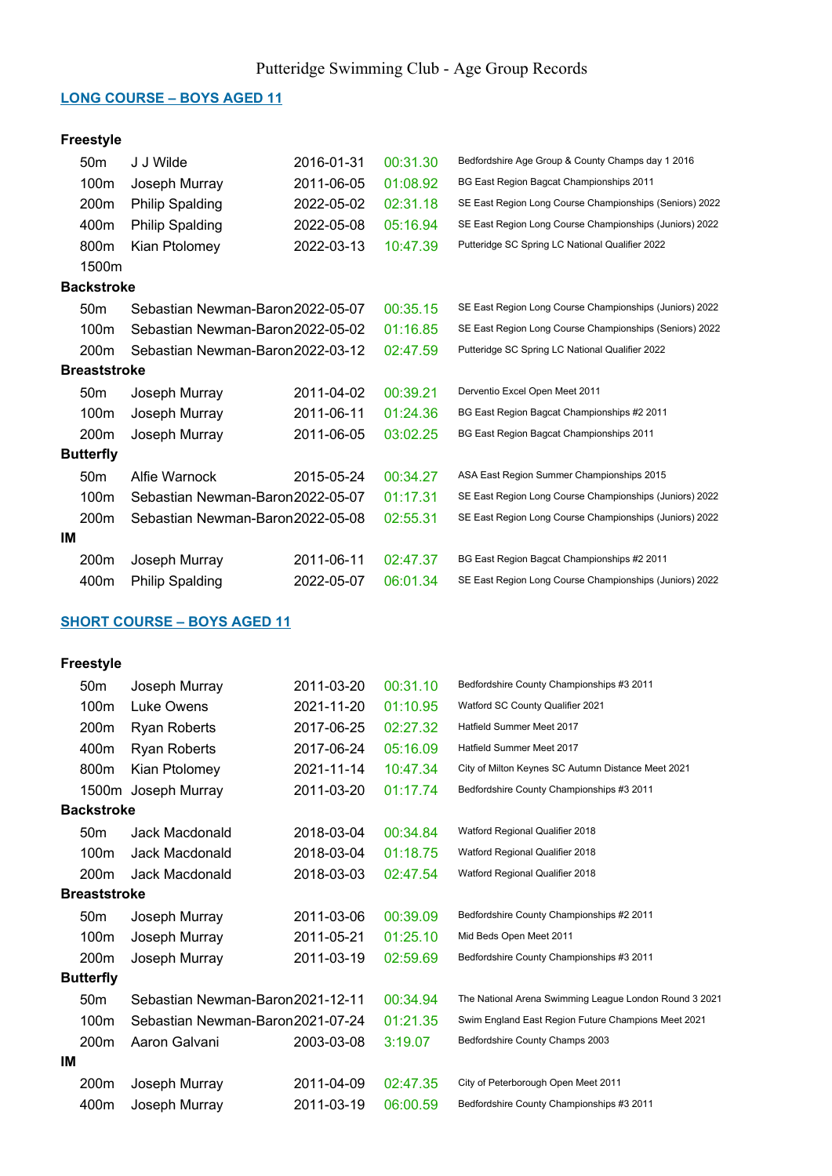#### LONG COURSE – BOYS AGED 11

## Freestyle

|    | 50 <sub>m</sub>     | J J Wilde                         | 2016-01-31 | 00:31.30 | Bedfordshire Age Group & County Champs day 1 2016       |
|----|---------------------|-----------------------------------|------------|----------|---------------------------------------------------------|
|    | 100m                | Joseph Murray                     | 2011-06-05 | 01:08.92 | BG East Region Bagcat Championships 2011                |
|    | 200m                | <b>Philip Spalding</b>            | 2022-05-02 | 02:31.18 | SE East Region Long Course Championships (Seniors) 2022 |
|    | 400m                | <b>Philip Spalding</b>            | 2022-05-08 | 05:16.94 | SE East Region Long Course Championships (Juniors) 2022 |
|    | 800m                | Kian Ptolomey                     | 2022-03-13 | 10:47.39 | Putteridge SC Spring LC National Qualifier 2022         |
|    | 1500m               |                                   |            |          |                                                         |
|    | <b>Backstroke</b>   |                                   |            |          |                                                         |
|    | 50 <sub>m</sub>     | Sebastian Newman-Baron 2022-05-07 |            | 00:35.15 | SE East Region Long Course Championships (Juniors) 2022 |
|    | 100m                | Sebastian Newman-Baron 2022-05-02 |            | 01:16.85 | SE East Region Long Course Championships (Seniors) 2022 |
|    | 200 <sub>m</sub>    | Sebastian Newman-Baron 2022-03-12 |            | 02:47.59 | Putteridge SC Spring LC National Qualifier 2022         |
|    | <b>Breaststroke</b> |                                   |            |          |                                                         |
|    | 50 <sub>m</sub>     | Joseph Murray                     | 2011-04-02 | 00:39.21 | Derventio Excel Open Meet 2011                          |
|    | 100m                | Joseph Murray                     | 2011-06-11 | 01:24.36 | BG East Region Bagcat Championships #2 2011             |
|    | 200 <sub>m</sub>    | Joseph Murray                     | 2011-06-05 | 03:02.25 | BG East Region Bagcat Championships 2011                |
|    | <b>Butterfly</b>    |                                   |            |          |                                                         |
|    | 50 <sub>m</sub>     | Alfie Warnock                     | 2015-05-24 | 00:34.27 | ASA East Region Summer Championships 2015               |
|    | 100m                | Sebastian Newman-Baron 2022-05-07 |            | 01:17.31 | SE East Region Long Course Championships (Juniors) 2022 |
|    | 200m                | Sebastian Newman-Baron2022-05-08  |            | 02:55.31 | SE East Region Long Course Championships (Juniors) 2022 |
| IМ |                     |                                   |            |          |                                                         |
|    | 200m                | Joseph Murray                     | 2011-06-11 | 02:47.37 | BG East Region Bagcat Championships #2 2011             |
|    | 400m                | <b>Philip Spalding</b>            | 2022-05-07 | 06:01.34 | SE East Region Long Course Championships (Juniors) 2022 |

## SHORT COURSE – BOYS AGED 11

|    | 50 <sub>m</sub>     | Joseph Murray                     | 2011-03-20 | 00:31.10 | Bedfordshire County Championships #3 2011              |
|----|---------------------|-----------------------------------|------------|----------|--------------------------------------------------------|
|    | 100m                | Luke Owens                        | 2021-11-20 | 01:10.95 | Watford SC County Qualifier 2021                       |
|    | 200 <sub>m</sub>    | Ryan Roberts                      | 2017-06-25 | 02:27.32 | Hatfield Summer Meet 2017                              |
|    | 400m                | <b>Ryan Roberts</b>               | 2017-06-24 | 05:16.09 | Hatfield Summer Meet 2017                              |
|    | 800m                | Kian Ptolomey                     | 2021-11-14 | 10:47.34 | City of Milton Keynes SC Autumn Distance Meet 2021     |
|    | 1500m               | Joseph Murray                     | 2011-03-20 | 01:17.74 | Bedfordshire County Championships #3 2011              |
|    | <b>Backstroke</b>   |                                   |            |          |                                                        |
|    | 50 <sub>m</sub>     | Jack Macdonald                    | 2018-03-04 | 00:34.84 | Watford Regional Qualifier 2018                        |
|    | 100m                | Jack Macdonald                    | 2018-03-04 | 01:18.75 | Watford Regional Qualifier 2018                        |
|    | 200 <sub>m</sub>    | Jack Macdonald                    | 2018-03-03 | 02:47.54 | Watford Regional Qualifier 2018                        |
|    | <b>Breaststroke</b> |                                   |            |          |                                                        |
|    | 50 <sub>m</sub>     | Joseph Murray                     | 2011-03-06 | 00:39.09 | Bedfordshire County Championships #2 2011              |
|    | 100m                | Joseph Murray                     | 2011-05-21 | 01:25.10 | Mid Beds Open Meet 2011                                |
|    | 200m                | Joseph Murray                     | 2011-03-19 | 02:59.69 | Bedfordshire County Championships #3 2011              |
|    | <b>Butterfly</b>    |                                   |            |          |                                                        |
|    | 50 <sub>m</sub>     | Sebastian Newman-Baron 2021-12-11 |            | 00:34.94 | The National Arena Swimming League London Round 3 2021 |
|    | 100m                | Sebastian Newman-Baron 2021-07-24 |            | 01:21.35 | Swim England East Region Future Champions Meet 2021    |
|    | 200m                | Aaron Galvani                     | 2003-03-08 | 3:19.07  | Bedfordshire County Champs 2003                        |
| IМ |                     |                                   |            |          |                                                        |
|    | 200m                | Joseph Murray                     | 2011-04-09 | 02:47.35 | City of Peterborough Open Meet 2011                    |
|    | 400m                | Joseph Murray                     | 2011-03-19 | 06:00.59 | Bedfordshire County Championships #3 2011              |
|    |                     |                                   |            |          |                                                        |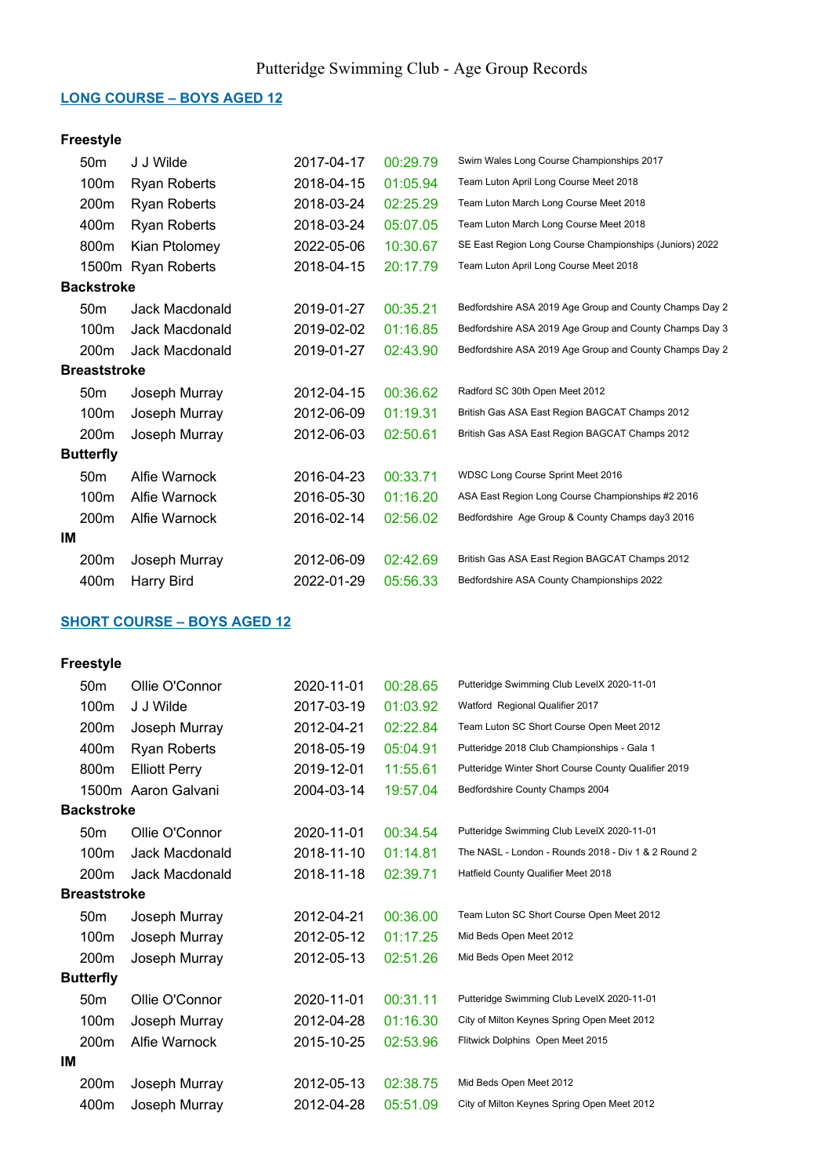#### LONG COURSE – BOYS AGED 12

## Freestyle

|                     | 50 <sub>m</sub>   | J J Wilde           | 2017-04-17 | 00:29.79 | Swim Wales Long Course Championships 2017               |
|---------------------|-------------------|---------------------|------------|----------|---------------------------------------------------------|
|                     | 100m              | Ryan Roberts        | 2018-04-15 | 01:05.94 | Team Luton April Long Course Meet 2018                  |
|                     | 200m              | Ryan Roberts        | 2018-03-24 | 02:25.29 | Team Luton March Long Course Meet 2018                  |
|                     | 400m              | <b>Ryan Roberts</b> | 2018-03-24 | 05:07.05 | Team Luton March Long Course Meet 2018                  |
|                     | 800m              | Kian Ptolomey       | 2022-05-06 | 10:30.67 | SE East Region Long Course Championships (Juniors) 2022 |
|                     |                   | 1500m Ryan Roberts  | 2018-04-15 | 20:17.79 | Team Luton April Long Course Meet 2018                  |
|                     | <b>Backstroke</b> |                     |            |          |                                                         |
|                     | 50 <sub>m</sub>   | Jack Macdonald      | 2019-01-27 | 00:35.21 | Bedfordshire ASA 2019 Age Group and County Champs Day 2 |
|                     | 100m              | Jack Macdonald      | 2019-02-02 | 01:16.85 | Bedfordshire ASA 2019 Age Group and County Champs Day 3 |
|                     | 200m              | Jack Macdonald      | 2019-01-27 | 02:43.90 | Bedfordshire ASA 2019 Age Group and County Champs Day 2 |
| <b>Breaststroke</b> |                   |                     |            |          |                                                         |
|                     | 50 <sub>m</sub>   | Joseph Murray       | 2012-04-15 | 00:36.62 | Radford SC 30th Open Meet 2012                          |
|                     | 100m              | Joseph Murray       | 2012-06-09 | 01:19.31 | British Gas ASA East Region BAGCAT Champs 2012          |
|                     | 200m              | Joseph Murray       | 2012-06-03 | 02:50.61 | British Gas ASA East Region BAGCAT Champs 2012          |
|                     | <b>Butterfly</b>  |                     |            |          |                                                         |
|                     | 50 <sub>m</sub>   | Alfie Warnock       | 2016-04-23 | 00:33.71 | WDSC Long Course Sprint Meet 2016                       |
|                     | 100m              | Alfie Warnock       | 2016-05-30 | 01:16.20 | ASA East Region Long Course Championships #2 2016       |
|                     | 200m              | Alfie Warnock       | 2016-02-14 | 02:56.02 | Bedfordshire Age Group & County Champs day3 2016        |
| ΙM                  |                   |                     |            |          |                                                         |
|                     | 200m              | Joseph Murray       | 2012-06-09 | 02:42.69 | British Gas ASA East Region BAGCAT Champs 2012          |
|                     | 400m              | Harry Bird          | 2022-01-29 | 05:56.33 | Bedfordshire ASA County Championships 2022              |
|                     |                   |                     |            |          |                                                         |

## SHORT COURSE – BOYS AGED 12

|    | 50 <sub>m</sub>     | Ollie O'Connor       | 2020-11-01 | 00:28.65 | Putteridge Swimming Club LevelX 2020-11-01           |
|----|---------------------|----------------------|------------|----------|------------------------------------------------------|
|    | 100 <sub>m</sub>    | J J Wilde            | 2017-03-19 | 01:03.92 | Watford Regional Qualifier 2017                      |
|    | 200m                | Joseph Murray        | 2012-04-21 | 02:22.84 | Team Luton SC Short Course Open Meet 2012            |
|    | 400m                | <b>Ryan Roberts</b>  | 2018-05-19 | 05:04.91 | Putteridge 2018 Club Championships - Gala 1          |
|    | 800m                | <b>Elliott Perry</b> | 2019-12-01 | 11:55.61 | Putteridge Winter Short Course County Qualifier 2019 |
|    |                     | 1500m Aaron Galvani  | 2004-03-14 | 19:57.04 | Bedfordshire County Champs 2004                      |
|    | <b>Backstroke</b>   |                      |            |          |                                                      |
|    | 50 <sub>m</sub>     | Ollie O'Connor       | 2020-11-01 | 00:34.54 | Putteridge Swimming Club LevelX 2020-11-01           |
|    | 100 <sub>m</sub>    | Jack Macdonald       | 2018-11-10 | 01:14.81 | The NASL - London - Rounds 2018 - Div 1 & 2 Round 2  |
|    | 200 <sub>m</sub>    | Jack Macdonald       | 2018-11-18 | 02:39.71 | Hatfield County Qualifier Meet 2018                  |
|    | <b>Breaststroke</b> |                      |            |          |                                                      |
|    | 50 <sub>m</sub>     | Joseph Murray        | 2012-04-21 | 00:36.00 | Team Luton SC Short Course Open Meet 2012            |
|    | 100m                | Joseph Murray        | 2012-05-12 | 01:17.25 | Mid Beds Open Meet 2012                              |
|    | 200m                | Joseph Murray        | 2012-05-13 | 02:51.26 | Mid Beds Open Meet 2012                              |
|    | <b>Butterfly</b>    |                      |            |          |                                                      |
|    | 50 <sub>m</sub>     | Ollie O'Connor       | 2020-11-01 | 00:31.11 | Putteridge Swimming Club LevelX 2020-11-01           |
|    | 100m                | Joseph Murray        | 2012-04-28 | 01:16.30 | City of Milton Keynes Spring Open Meet 2012          |
|    | 200 <sub>m</sub>    | Alfie Warnock        | 2015-10-25 | 02:53.96 | Flitwick Dolphins Open Meet 2015                     |
| IM |                     |                      |            |          |                                                      |
|    | 200 <sub>m</sub>    | Joseph Murray        | 2012-05-13 | 02:38.75 | Mid Beds Open Meet 2012                              |
|    | 400m                | Joseph Murray        | 2012-04-28 | 05:51.09 | City of Milton Keynes Spring Open Meet 2012          |
|    |                     |                      |            |          |                                                      |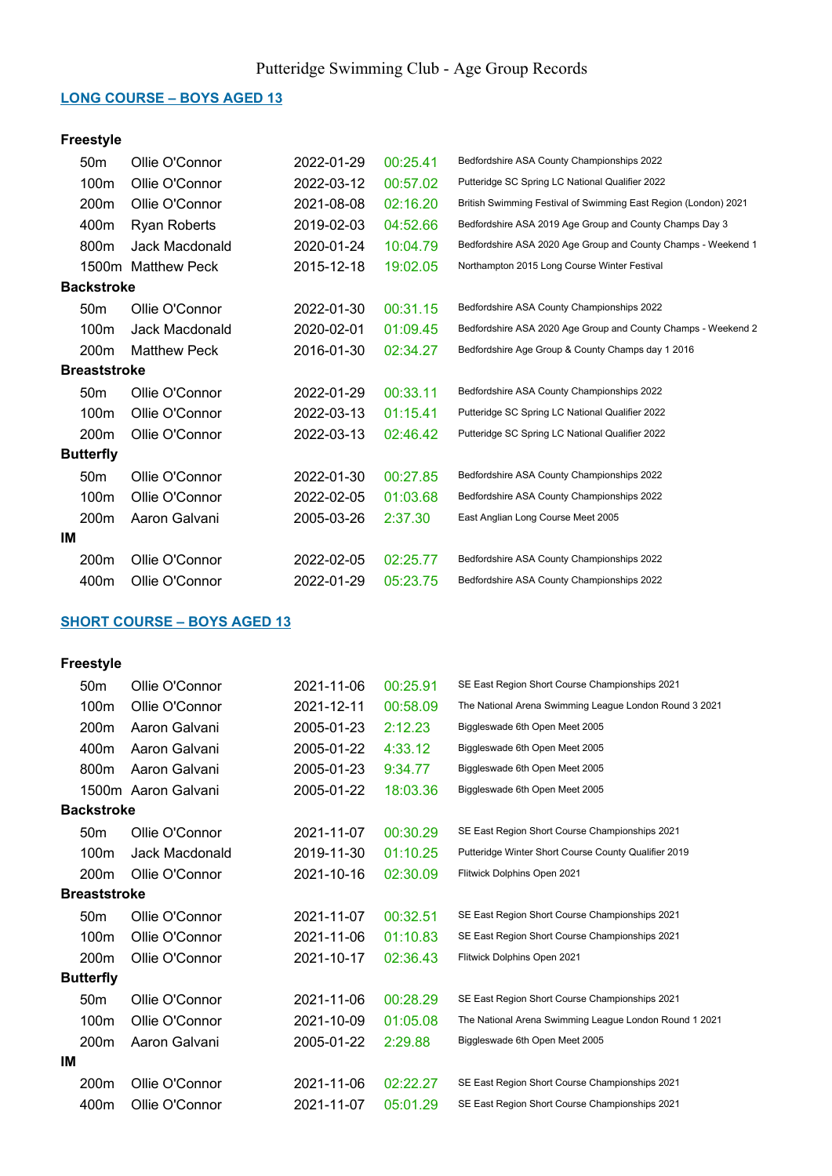#### LONG COURSE – BOYS AGED 13

## Freestyle

|    | 50 <sub>m</sub>     | Ollie O'Connor      | 2022-01-29 | 00:25.41 | Bedfordshire ASA County Championships 2022                      |
|----|---------------------|---------------------|------------|----------|-----------------------------------------------------------------|
|    | 100m                | Ollie O'Connor      | 2022-03-12 | 00:57.02 | Putteridge SC Spring LC National Qualifier 2022                 |
|    | 200m                | Ollie O'Connor      | 2021-08-08 | 02:16.20 | British Swimming Festival of Swimming East Region (London) 2021 |
|    | 400m                | Ryan Roberts        | 2019-02-03 | 04:52.66 | Bedfordshire ASA 2019 Age Group and County Champs Day 3         |
|    | 800m                | Jack Macdonald      | 2020-01-24 | 10:04.79 | Bedfordshire ASA 2020 Age Group and County Champs - Weekend 1   |
|    | 1500m               | Matthew Peck        | 2015-12-18 | 19:02.05 | Northampton 2015 Long Course Winter Festival                    |
|    | <b>Backstroke</b>   |                     |            |          |                                                                 |
|    | 50 <sub>m</sub>     | Ollie O'Connor      | 2022-01-30 | 00:31.15 | Bedfordshire ASA County Championships 2022                      |
|    | 100m                | Jack Macdonald      | 2020-02-01 | 01:09.45 | Bedfordshire ASA 2020 Age Group and County Champs - Weekend 2   |
|    | 200m                | <b>Matthew Peck</b> | 2016-01-30 | 02:34.27 | Bedfordshire Age Group & County Champs day 1 2016               |
|    | <b>Breaststroke</b> |                     |            |          |                                                                 |
|    | 50 <sub>m</sub>     | Ollie O'Connor      | 2022-01-29 | 00:33.11 | Bedfordshire ASA County Championships 2022                      |
|    | 100m                | Ollie O'Connor      | 2022-03-13 | 01:15.41 | Putteridge SC Spring LC National Qualifier 2022                 |
|    | 200m                | Ollie O'Connor      | 2022-03-13 | 02:46.42 | Putteridge SC Spring LC National Qualifier 2022                 |
|    | <b>Butterfly</b>    |                     |            |          |                                                                 |
|    | 50 <sub>m</sub>     | Ollie O'Connor      | 2022-01-30 | 00:27.85 | Bedfordshire ASA County Championships 2022                      |
|    | 100m                | Ollie O'Connor      | 2022-02-05 | 01:03.68 | Bedfordshire ASA County Championships 2022                      |
|    | 200m                | Aaron Galvani       | 2005-03-26 | 2:37.30  | East Anglian Long Course Meet 2005                              |
| IM |                     |                     |            |          |                                                                 |
|    | 200m                | Ollie O'Connor      | 2022-02-05 | 02:25.77 | Bedfordshire ASA County Championships 2022                      |
|    | 400m                | Ollie O'Connor      | 2022-01-29 | 05:23.75 | Bedfordshire ASA County Championships 2022                      |

## SHORT COURSE – BOYS AGED 13

|    | 50 <sub>m</sub>     | Ollie O'Connor      | 2021-11-06 | 00:25.91 | SE East Region Short Course Championships 2021         |
|----|---------------------|---------------------|------------|----------|--------------------------------------------------------|
|    | 100 <sub>m</sub>    | Ollie O'Connor      | 2021-12-11 | 00:58.09 | The National Arena Swimming League London Round 3 2021 |
|    | 200 <sub>m</sub>    | Aaron Galvani       | 2005-01-23 | 2:12.23  | Biggleswade 6th Open Meet 2005                         |
|    | 400m                | Aaron Galvani       | 2005-01-22 | 4:33.12  | Biggleswade 6th Open Meet 2005                         |
|    | 800m                | Aaron Galvani       | 2005-01-23 | 9:34.77  | Biggleswade 6th Open Meet 2005                         |
|    |                     | 1500m Aaron Galvani | 2005-01-22 | 18:03.36 | Biggleswade 6th Open Meet 2005                         |
|    | <b>Backstroke</b>   |                     |            |          |                                                        |
|    | 50 <sub>m</sub>     | Ollie O'Connor      | 2021-11-07 | 00:30.29 | SE East Region Short Course Championships 2021         |
|    | 100 <sub>m</sub>    | Jack Macdonald      | 2019-11-30 | 01:10.25 | Putteridge Winter Short Course County Qualifier 2019   |
|    | 200m                | Ollie O'Connor      | 2021-10-16 | 02:30.09 | Flitwick Dolphins Open 2021                            |
|    | <b>Breaststroke</b> |                     |            |          |                                                        |
|    | 50 <sub>m</sub>     | Ollie O'Connor      | 2021-11-07 | 00:32.51 | SE East Region Short Course Championships 2021         |
|    | 100 <sub>m</sub>    | Ollie O'Connor      | 2021-11-06 | 01:10.83 | SE East Region Short Course Championships 2021         |
|    | 200m                | Ollie O'Connor      | 2021-10-17 | 02:36.43 | Flitwick Dolphins Open 2021                            |
|    | <b>Butterfly</b>    |                     |            |          |                                                        |
|    | 50 <sub>m</sub>     | Ollie O'Connor      | 2021-11-06 | 00:28.29 | SE East Region Short Course Championships 2021         |
|    | 100m                | Ollie O'Connor      | 2021-10-09 | 01:05.08 | The National Arena Swimming League London Round 1 2021 |
|    | 200m                | Aaron Galvani       | 2005-01-22 | 2:29.88  | Biggleswade 6th Open Meet 2005                         |
| IМ |                     |                     |            |          |                                                        |
|    | 200 <sub>m</sub>    | Ollie O'Connor      | 2021-11-06 | 02:22.27 | SE East Region Short Course Championships 2021         |
|    | 400m                | Ollie O'Connor      | 2021-11-07 | 05:01.29 | SE East Region Short Course Championships 2021         |
|    |                     |                     |            |          |                                                        |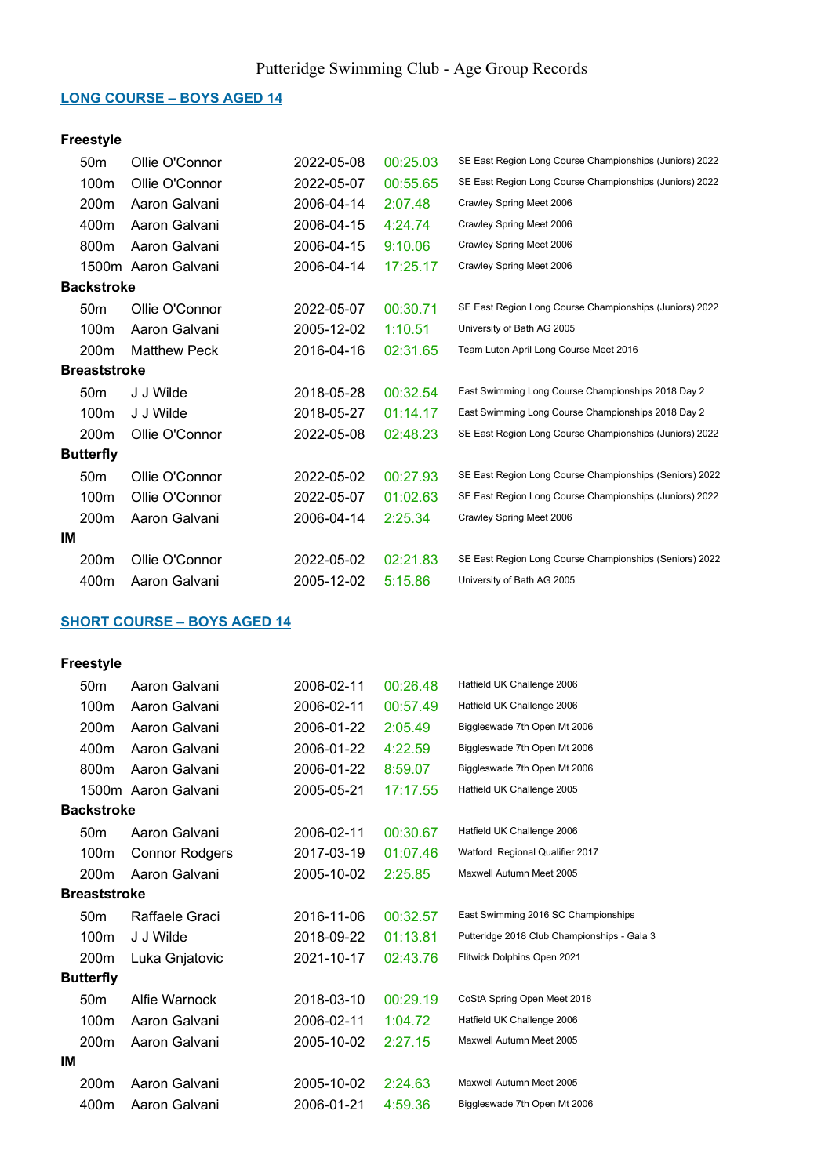#### LONG COURSE – BOYS AGED 14

## Freestyle

|    | 50 <sub>m</sub>     | Ollie O'Connor      | 2022-05-08 | 00:25.03 | SE East Region Long Course Championships (Juniors) 2022 |
|----|---------------------|---------------------|------------|----------|---------------------------------------------------------|
|    | 100m                | Ollie O'Connor      | 2022-05-07 | 00:55.65 | SE East Region Long Course Championships (Juniors) 2022 |
|    | 200m                | Aaron Galvani       | 2006-04-14 | 2:07.48  | Crawley Spring Meet 2006                                |
|    | 400m                | Aaron Galvani       | 2006-04-15 | 4:24.74  | Crawley Spring Meet 2006                                |
|    | 800 <sub>m</sub>    | Aaron Galvani       | 2006-04-15 | 9:10.06  | Crawley Spring Meet 2006                                |
|    |                     | 1500m Aaron Galvani | 2006-04-14 | 17:25.17 | Crawley Spring Meet 2006                                |
|    | <b>Backstroke</b>   |                     |            |          |                                                         |
|    | 50 <sub>m</sub>     | Ollie O'Connor      | 2022-05-07 | 00:30.71 | SE East Region Long Course Championships (Juniors) 2022 |
|    | 100m                | Aaron Galvani       | 2005-12-02 | 1:10.51  | University of Bath AG 2005                              |
|    | 200m                | <b>Matthew Peck</b> | 2016-04-16 | 02:31.65 | Team Luton April Long Course Meet 2016                  |
|    | <b>Breaststroke</b> |                     |            |          |                                                         |
|    | 50 <sub>m</sub>     | J J Wilde           | 2018-05-28 | 00:32.54 | East Swimming Long Course Championships 2018 Day 2      |
|    | 100m                | J J Wilde           | 2018-05-27 | 01:14.17 | East Swimming Long Course Championships 2018 Day 2      |
|    | 200 <sub>m</sub>    | Ollie O'Connor      | 2022-05-08 | 02:48.23 | SE East Region Long Course Championships (Juniors) 2022 |
|    | <b>Butterfly</b>    |                     |            |          |                                                         |
|    | 50 <sub>m</sub>     | Ollie O'Connor      | 2022-05-02 | 00:27.93 | SE East Region Long Course Championships (Seniors) 2022 |
|    | 100m                | Ollie O'Connor      | 2022-05-07 | 01:02.63 | SE East Region Long Course Championships (Juniors) 2022 |
|    | 200m                | Aaron Galvani       | 2006-04-14 | 2:25.34  | Crawley Spring Meet 2006                                |
| IМ |                     |                     |            |          |                                                         |
|    | 200m                | Ollie O'Connor      | 2022-05-02 | 02:21.83 | SE East Region Long Course Championships (Seniors) 2022 |
|    | 400m                | Aaron Galvani       | 2005-12-02 | 5:15.86  | University of Bath AG 2005                              |

## SHORT COURSE – BOYS AGED 14

|    | 50 <sub>m</sub>     | Aaron Galvani       | 2006-02-11 | 00:26.48 | Hatfield UK Challenge 2006                  |
|----|---------------------|---------------------|------------|----------|---------------------------------------------|
|    | 100m                | Aaron Galvani       | 2006-02-11 | 00:57.49 | Hatfield UK Challenge 2006                  |
|    | 200 <sub>m</sub>    | Aaron Galvani       | 2006-01-22 | 2:05.49  | Biggleswade 7th Open Mt 2006                |
|    | 400m                | Aaron Galvani       | 2006-01-22 | 4:22.59  | Biggleswade 7th Open Mt 2006                |
|    | 800m                | Aaron Galvani       | 2006-01-22 | 8:59.07  | Biggleswade 7th Open Mt 2006                |
|    |                     | 1500m Aaron Galvani | 2005-05-21 | 17:17.55 | Hatfield UK Challenge 2005                  |
|    | <b>Backstroke</b>   |                     |            |          |                                             |
|    | 50 <sub>m</sub>     | Aaron Galvani       | 2006-02-11 | 00:30.67 | Hatfield UK Challenge 2006                  |
|    | 100m                | Connor Rodgers      | 2017-03-19 | 01:07.46 | Watford Regional Qualifier 2017             |
|    | 200 <sub>m</sub>    | Aaron Galvani       | 2005-10-02 | 2:25.85  | Maxwell Autumn Meet 2005                    |
|    | <b>Breaststroke</b> |                     |            |          |                                             |
|    | 50 <sub>m</sub>     | Raffaele Graci      | 2016-11-06 | 00:32.57 | East Swimming 2016 SC Championships         |
|    | 100m                | J J Wilde           | 2018-09-22 | 01:13.81 | Putteridge 2018 Club Championships - Gala 3 |
|    | 200m                | Luka Gnjatovic      | 2021-10-17 | 02:43.76 | Flitwick Dolphins Open 2021                 |
|    | <b>Butterfly</b>    |                     |            |          |                                             |
|    | 50 <sub>m</sub>     | Alfie Warnock       | 2018-03-10 | 00:29.19 | CoStA Spring Open Meet 2018                 |
|    | 100m                | Aaron Galvani       | 2006-02-11 | 1:04.72  | Hatfield UK Challenge 2006                  |
|    | 200 <sub>m</sub>    | Aaron Galvani       | 2005-10-02 | 2:27.15  | Maxwell Autumn Meet 2005                    |
| IМ |                     |                     |            |          |                                             |
|    | 200 <sub>m</sub>    | Aaron Galvani       | 2005-10-02 | 2:24.63  | Maxwell Autumn Meet 2005                    |
|    | 400m                | Aaron Galvani       | 2006-01-21 | 4:59.36  | Biggleswade 7th Open Mt 2006                |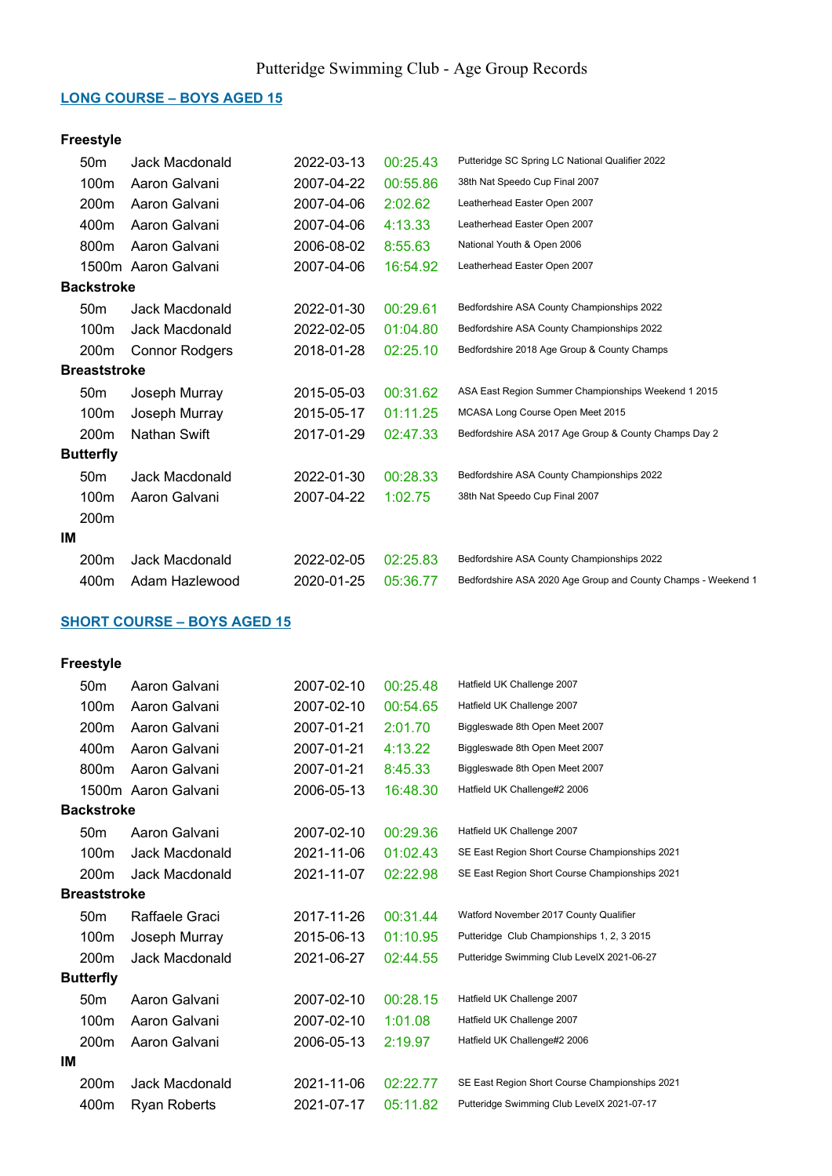#### LONG COURSE – BOYS AGED 15

## Freestyle

|                     | 50 <sub>m</sub>   | Jack Macdonald        | 2022-03-13 | 00:25.43 | Putteridge SC Spring LC National Qualifier 2022               |
|---------------------|-------------------|-----------------------|------------|----------|---------------------------------------------------------------|
|                     | 100m              | Aaron Galvani         | 2007-04-22 | 00:55.86 | 38th Nat Speedo Cup Final 2007                                |
|                     | 200m              | Aaron Galvani         | 2007-04-06 | 2:02.62  | Leatherhead Easter Open 2007                                  |
|                     | 400m              | Aaron Galvani         | 2007-04-06 | 4:13.33  | Leatherhead Easter Open 2007                                  |
|                     | 800m              | Aaron Galvani         | 2006-08-02 | 8:55.63  | National Youth & Open 2006                                    |
|                     |                   | 1500m Aaron Galvani   | 2007-04-06 | 16:54.92 | Leatherhead Easter Open 2007                                  |
|                     | <b>Backstroke</b> |                       |            |          |                                                               |
|                     | 50 <sub>m</sub>   | Jack Macdonald        | 2022-01-30 | 00:29.61 | Bedfordshire ASA County Championships 2022                    |
|                     | 100m              | Jack Macdonald        | 2022-02-05 | 01:04.80 | Bedfordshire ASA County Championships 2022                    |
|                     | 200m              | <b>Connor Rodgers</b> | 2018-01-28 | 02:25.10 | Bedfordshire 2018 Age Group & County Champs                   |
| <b>Breaststroke</b> |                   |                       |            |          |                                                               |
|                     | 50 <sub>m</sub>   | Joseph Murray         | 2015-05-03 | 00:31.62 | ASA East Region Summer Championships Weekend 1 2015           |
|                     | 100m              | Joseph Murray         | 2015-05-17 | 01:11.25 | MCASA Long Course Open Meet 2015                              |
|                     | 200 <sub>m</sub>  | Nathan Swift          | 2017-01-29 | 02:47.33 | Bedfordshire ASA 2017 Age Group & County Champs Day 2         |
|                     | <b>Butterfly</b>  |                       |            |          |                                                               |
|                     | 50 <sub>m</sub>   | Jack Macdonald        | 2022-01-30 | 00:28.33 | Bedfordshire ASA County Championships 2022                    |
|                     | 100m              | Aaron Galvani         | 2007-04-22 | 1:02.75  | 38th Nat Speedo Cup Final 2007                                |
|                     | 200m              |                       |            |          |                                                               |
| ΙM                  |                   |                       |            |          |                                                               |
|                     | 200m              | Jack Macdonald        | 2022-02-05 | 02:25.83 | Bedfordshire ASA County Championships 2022                    |
|                     | 400m              | Adam Hazlewood        | 2020-01-25 | 05:36.77 | Bedfordshire ASA 2020 Age Group and County Champs - Weekend 1 |
|                     |                   |                       |            |          |                                                               |

## SHORT COURSE – BOYS AGED 15

| 50 <sub>m</sub>  | Aaron Galvani          | 2007-02-10                                                      | 00:25.48 | Hatfield UK Challenge 2007                     |
|------------------|------------------------|-----------------------------------------------------------------|----------|------------------------------------------------|
| 100m             | Aaron Galvani          | 2007-02-10                                                      | 00:54.65 | Hatfield UK Challenge 2007                     |
| 200m             | Aaron Galvani          | 2007-01-21                                                      | 2:01.70  | Biggleswade 8th Open Meet 2007                 |
| 400m             | Aaron Galvani          | 2007-01-21                                                      | 4:13.22  | Biggleswade 8th Open Meet 2007                 |
| 800m             | Aaron Galvani          | 2007-01-21                                                      | 8:45.33  | Biggleswade 8th Open Meet 2007                 |
|                  |                        | 2006-05-13                                                      | 16:48.30 | Hatfield UK Challenge#2 2006                   |
|                  |                        |                                                                 |          |                                                |
| 50 <sub>m</sub>  | Aaron Galvani          | 2007-02-10                                                      | 00:29.36 | Hatfield UK Challenge 2007                     |
| 100m             | Jack Macdonald         | 2021-11-06                                                      | 01:02.43 | SE East Region Short Course Championships 2021 |
| 200 <sub>m</sub> | Jack Macdonald         | 2021-11-07                                                      | 02:22.98 | SE East Region Short Course Championships 2021 |
|                  |                        |                                                                 |          |                                                |
| 50 <sub>m</sub>  | Raffaele Graci         | 2017-11-26                                                      | 00:31.44 | Watford November 2017 County Qualifier         |
| 100m             | Joseph Murray          | 2015-06-13                                                      | 01:10.95 | Putteridge Club Championships 1, 2, 3 2015     |
| 200m             | Jack Macdonald         | 2021-06-27                                                      | 02:44.55 | Putteridge Swimming Club LevelX 2021-06-27     |
|                  |                        |                                                                 |          |                                                |
| 50 <sub>m</sub>  | Aaron Galvani          | 2007-02-10                                                      | 00:28.15 | Hatfield UK Challenge 2007                     |
| 100m             | Aaron Galvani          | 2007-02-10                                                      | 1:01.08  | Hatfield UK Challenge 2007                     |
| 200 <sub>m</sub> | Aaron Galvani          | 2006-05-13                                                      | 2:19.97  | Hatfield UK Challenge#2 2006                   |
|                  |                        |                                                                 |          |                                                |
| 200m             | Jack Macdonald         | 2021-11-06                                                      | 02:22.77 | SE East Region Short Course Championships 2021 |
| 400m             | Ryan Roberts           | 2021-07-17                                                      | 05:11.82 | Putteridge Swimming Club LevelX 2021-07-17     |
|                  | <b>Butterfly</b><br>IМ | 1500m Aaron Galvani<br><b>Backstroke</b><br><b>Breaststroke</b> |          |                                                |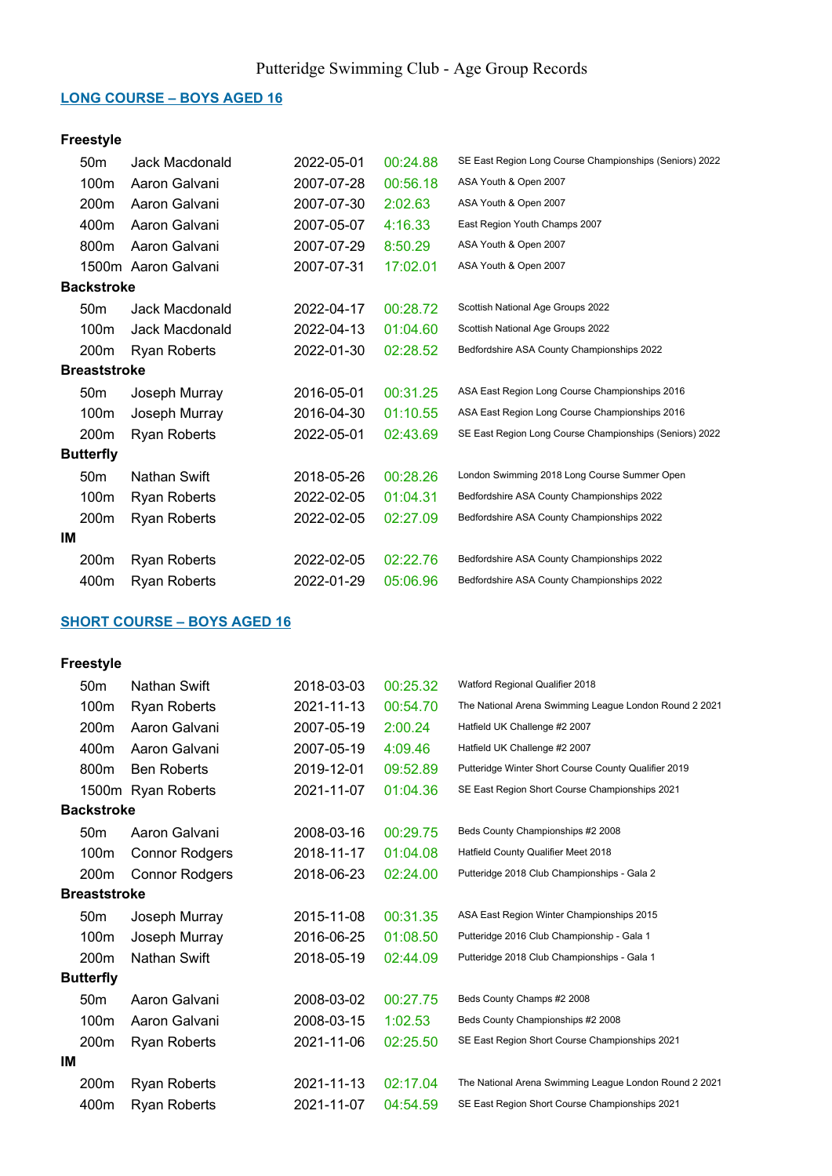#### LONG COURSE – BOYS AGED 16

## Freestyle

|                     | 50 <sub>m</sub>   | Jack Macdonald      | 2022-05-01 | 00:24.88 | SE East Region Long Course Championships (Seniors) 2022 |
|---------------------|-------------------|---------------------|------------|----------|---------------------------------------------------------|
|                     | 100m              | Aaron Galvani       | 2007-07-28 | 00:56.18 | ASA Youth & Open 2007                                   |
|                     | 200m              | Aaron Galvani       | 2007-07-30 | 2:02.63  | ASA Youth & Open 2007                                   |
|                     | 400m              | Aaron Galvani       | 2007-05-07 | 4:16.33  | East Region Youth Champs 2007                           |
|                     | 800m              | Aaron Galvani       | 2007-07-29 | 8:50.29  | ASA Youth & Open 2007                                   |
|                     |                   | 1500m Aaron Galvani | 2007-07-31 | 17:02.01 | ASA Youth & Open 2007                                   |
|                     | <b>Backstroke</b> |                     |            |          |                                                         |
|                     | 50 <sub>m</sub>   | Jack Macdonald      | 2022-04-17 | 00:28.72 | Scottish National Age Groups 2022                       |
|                     | 100m              | Jack Macdonald      | 2022-04-13 | 01:04.60 | Scottish National Age Groups 2022                       |
|                     | 200m              | <b>Ryan Roberts</b> | 2022-01-30 | 02:28.52 | Bedfordshire ASA County Championships 2022              |
| <b>Breaststroke</b> |                   |                     |            |          |                                                         |
|                     | 50 <sub>m</sub>   | Joseph Murray       | 2016-05-01 | 00:31.25 | ASA East Region Long Course Championships 2016          |
|                     | 100m              | Joseph Murray       | 2016-04-30 | 01:10.55 | ASA East Region Long Course Championships 2016          |
|                     | 200m              | <b>Ryan Roberts</b> | 2022-05-01 | 02:43.69 | SE East Region Long Course Championships (Seniors) 2022 |
|                     | <b>Butterfly</b>  |                     |            |          |                                                         |
|                     | 50 <sub>m</sub>   | Nathan Swift        | 2018-05-26 | 00:28.26 | London Swimming 2018 Long Course Summer Open            |
|                     | 100m              | <b>Ryan Roberts</b> | 2022-02-05 | 01:04.31 | Bedfordshire ASA County Championships 2022              |
|                     | 200m              | <b>Ryan Roberts</b> | 2022-02-05 | 02:27.09 | Bedfordshire ASA County Championships 2022              |
| ΙM                  |                   |                     |            |          |                                                         |
|                     | 200m              | <b>Ryan Roberts</b> | 2022-02-05 | 02:22.76 | Bedfordshire ASA County Championships 2022              |
|                     | 400m              | <b>Ryan Roberts</b> | 2022-01-29 | 05:06.96 | Bedfordshire ASA County Championships 2022              |

## SHORT COURSE – BOYS AGED 16

|                     | 50 <sub>m</sub>   | <b>Nathan Swift</b>   | 2018-03-03 | 00:25.32 | Watford Regional Qualifier 2018                        |
|---------------------|-------------------|-----------------------|------------|----------|--------------------------------------------------------|
|                     | 100m              | <b>Ryan Roberts</b>   | 2021-11-13 | 00:54.70 | The National Arena Swimming League London Round 2 2021 |
|                     | 200 <sub>m</sub>  | Aaron Galvani         | 2007-05-19 | 2:00.24  | Hatfield UK Challenge #2 2007                          |
|                     | 400m              | Aaron Galvani         | 2007-05-19 | 4:09.46  | Hatfield UK Challenge #2 2007                          |
|                     | 800m              | <b>Ben Roberts</b>    | 2019-12-01 | 09:52.89 | Putteridge Winter Short Course County Qualifier 2019   |
|                     |                   | 1500m Ryan Roberts    | 2021-11-07 | 01:04.36 | SE East Region Short Course Championships 2021         |
|                     | <b>Backstroke</b> |                       |            |          |                                                        |
|                     | 50 <sub>m</sub>   | Aaron Galvani         | 2008-03-16 | 00:29.75 | Beds County Championships #2 2008                      |
|                     | 100m              | <b>Connor Rodgers</b> | 2018-11-17 | 01:04.08 | Hatfield County Qualifier Meet 2018                    |
|                     | 200m              | <b>Connor Rodgers</b> | 2018-06-23 | 02:24.00 | Putteridge 2018 Club Championships - Gala 2            |
| <b>Breaststroke</b> |                   |                       |            |          |                                                        |
|                     | 50 <sub>m</sub>   | Joseph Murray         | 2015-11-08 | 00:31.35 | ASA East Region Winter Championships 2015              |
|                     | 100m              | Joseph Murray         | 2016-06-25 | 01:08.50 | Putteridge 2016 Club Championship - Gala 1             |
|                     | 200m              | Nathan Swift          | 2018-05-19 | 02:44.09 | Putteridge 2018 Club Championships - Gala 1            |
|                     | <b>Butterfly</b>  |                       |            |          |                                                        |
|                     | 50 <sub>m</sub>   | Aaron Galvani         | 2008-03-02 | 00:27.75 | Beds County Champs #2 2008                             |
|                     | 100m              | Aaron Galvani         | 2008-03-15 | 1:02.53  | Beds County Championships #2 2008                      |
|                     | 200m              | <b>Ryan Roberts</b>   | 2021-11-06 | 02:25.50 | SE East Region Short Course Championships 2021         |
| IМ                  |                   |                       |            |          |                                                        |
|                     | 200m              | Ryan Roberts          | 2021-11-13 | 02:17.04 | The National Arena Swimming League London Round 2 2021 |
|                     | 400m              | <b>Ryan Roberts</b>   | 2021-11-07 | 04:54.59 | SE East Region Short Course Championships 2021         |
|                     |                   |                       |            |          |                                                        |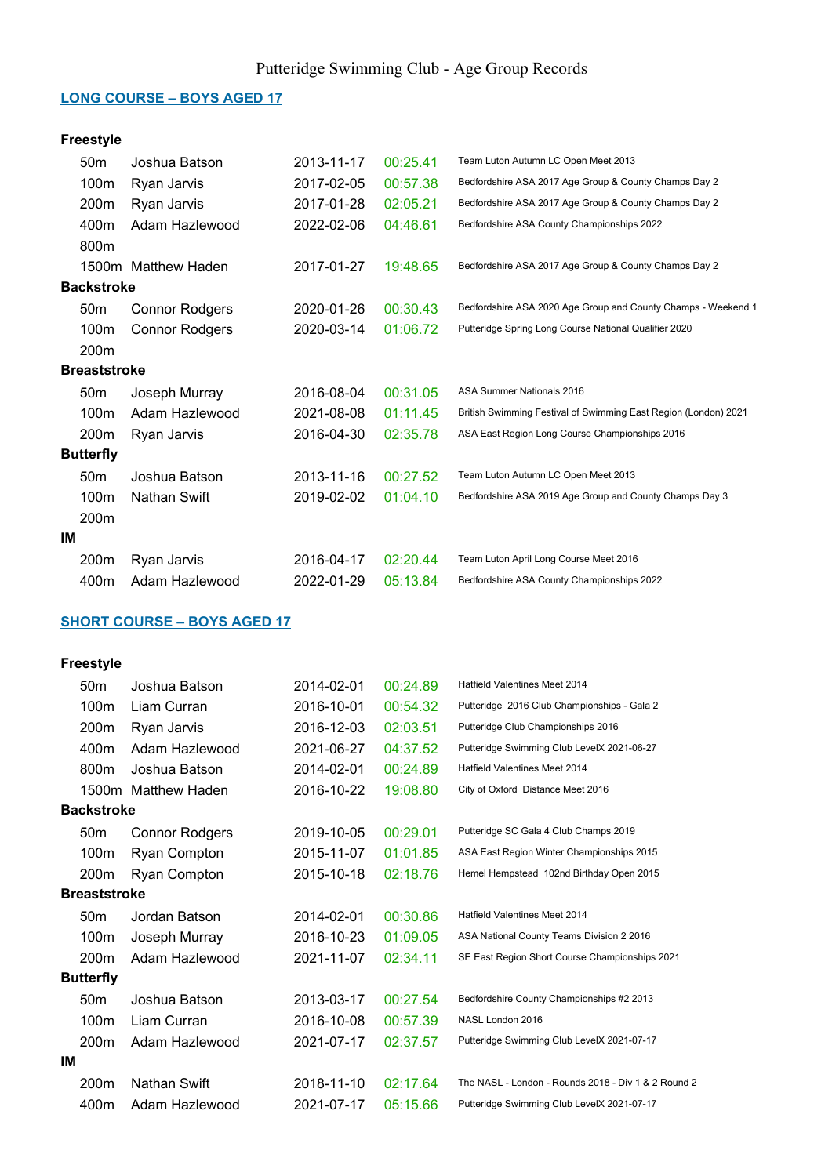#### LONG COURSE – BOYS AGED 17

## Freestyle

|    | 50 <sub>m</sub>     | Joshua Batson         | 2013-11-17 | 00:25.41 | Team Luton Autumn LC Open Meet 2013                             |
|----|---------------------|-----------------------|------------|----------|-----------------------------------------------------------------|
|    | 100m                | Ryan Jarvis           | 2017-02-05 | 00:57.38 | Bedfordshire ASA 2017 Age Group & County Champs Day 2           |
|    | 200m                | Ryan Jarvis           | 2017-01-28 | 02:05.21 | Bedfordshire ASA 2017 Age Group & County Champs Day 2           |
|    | 400m                | Adam Hazlewood        | 2022-02-06 | 04:46.61 | Bedfordshire ASA County Championships 2022                      |
|    | 800m                |                       |            |          |                                                                 |
|    |                     | 1500m Matthew Haden   | 2017-01-27 | 19:48.65 | Bedfordshire ASA 2017 Age Group & County Champs Day 2           |
|    | <b>Backstroke</b>   |                       |            |          |                                                                 |
|    | 50 <sub>m</sub>     | <b>Connor Rodgers</b> | 2020-01-26 | 00:30.43 | Bedfordshire ASA 2020 Age Group and County Champs - Weekend 1   |
|    | 100m                | <b>Connor Rodgers</b> | 2020-03-14 | 01:06.72 | Putteridge Spring Long Course National Qualifier 2020           |
|    | 200m                |                       |            |          |                                                                 |
|    | <b>Breaststroke</b> |                       |            |          |                                                                 |
|    | 50 <sub>m</sub>     | Joseph Murray         | 2016-08-04 | 00:31.05 | ASA Summer Nationals 2016                                       |
|    | 100m                | Adam Hazlewood        | 2021-08-08 | 01:11.45 | British Swimming Festival of Swimming East Region (London) 2021 |
|    | 200m                | Ryan Jarvis           | 2016-04-30 | 02:35.78 | ASA East Region Long Course Championships 2016                  |
|    | <b>Butterfly</b>    |                       |            |          |                                                                 |
|    | 50 <sub>m</sub>     | Joshua Batson         | 2013-11-16 | 00:27.52 | Team Luton Autumn LC Open Meet 2013                             |
|    | 100m                | <b>Nathan Swift</b>   | 2019-02-02 | 01:04.10 | Bedfordshire ASA 2019 Age Group and County Champs Day 3         |
|    | 200 <sub>m</sub>    |                       |            |          |                                                                 |
| ΙM |                     |                       |            |          |                                                                 |
|    | 200m                | Ryan Jarvis           | 2016-04-17 | 02:20.44 | Team Luton April Long Course Meet 2016                          |
|    | 400m                | Adam Hazlewood        | 2022-01-29 | 05:13.84 | Bedfordshire ASA County Championships 2022                      |
|    |                     |                       |            |          |                                                                 |

## SHORT COURSE – BOYS AGED 17

|    | 50 <sub>m</sub>     | Joshua Batson         | 2014-02-01 | 00:24.89 | Hatfield Valentines Meet 2014                       |
|----|---------------------|-----------------------|------------|----------|-----------------------------------------------------|
|    | 100 <sub>m</sub>    | Liam Curran           | 2016-10-01 | 00:54.32 | Putteridge 2016 Club Championships - Gala 2         |
|    | 200 <sub>m</sub>    | Ryan Jarvis           | 2016-12-03 | 02:03.51 | Putteridge Club Championships 2016                  |
|    | 400m                | Adam Hazlewood        | 2021-06-27 | 04:37.52 | Putteridge Swimming Club LevelX 2021-06-27          |
|    | 800m                | Joshua Batson         | 2014-02-01 | 00:24.89 | Hatfield Valentines Meet 2014                       |
|    |                     | 1500m Matthew Haden   | 2016-10-22 | 19:08.80 | City of Oxford Distance Meet 2016                   |
|    | <b>Backstroke</b>   |                       |            |          |                                                     |
|    | 50 <sub>m</sub>     | <b>Connor Rodgers</b> | 2019-10-05 | 00:29.01 | Putteridge SC Gala 4 Club Champs 2019               |
|    | 100 <sub>m</sub>    | Ryan Compton          | 2015-11-07 | 01:01.85 | ASA East Region Winter Championships 2015           |
|    | 200m                | Ryan Compton          | 2015-10-18 | 02:18.76 | Hemel Hempstead 102nd Birthday Open 2015            |
|    | <b>Breaststroke</b> |                       |            |          |                                                     |
|    | 50 <sub>m</sub>     | Jordan Batson         | 2014-02-01 | 00:30.86 | Hatfield Valentines Meet 2014                       |
|    | 100 <sub>m</sub>    | Joseph Murray         | 2016-10-23 | 01:09.05 | ASA National County Teams Division 2 2016           |
|    | 200 <sub>m</sub>    | Adam Hazlewood        | 2021-11-07 | 02:34.11 | SE East Region Short Course Championships 2021      |
|    | <b>Butterfly</b>    |                       |            |          |                                                     |
|    | 50 <sub>m</sub>     | Joshua Batson         | 2013-03-17 | 00:27.54 | Bedfordshire County Championships #2 2013           |
|    | 100m                | Liam Curran           | 2016-10-08 | 00:57.39 | NASL London 2016                                    |
|    | 200 <sub>m</sub>    | Adam Hazlewood        | 2021-07-17 | 02:37.57 | Putteridge Swimming Club LevelX 2021-07-17          |
| IМ |                     |                       |            |          |                                                     |
|    | 200 <sub>m</sub>    | <b>Nathan Swift</b>   | 2018-11-10 | 02:17.64 | The NASL - London - Rounds 2018 - Div 1 & 2 Round 2 |
|    | 400m                | Adam Hazlewood        | 2021-07-17 | 05:15.66 | Putteridge Swimming Club LevelX 2021-07-17          |
|    |                     |                       |            |          |                                                     |